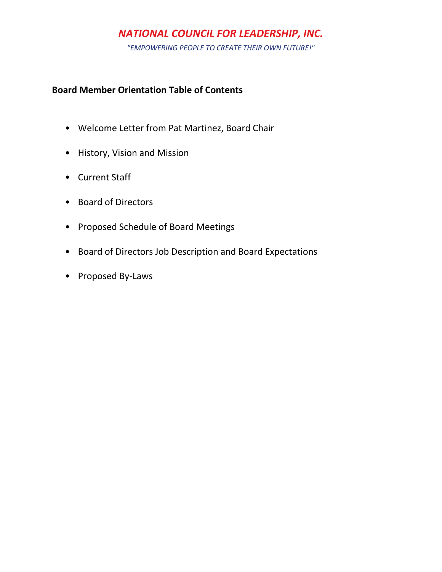*"EMPOWERING PEOPLE TO CREATE THEIR OWN FUTURE!"*

### **Board Member Orientation Table of Contents**

- Welcome Letter from Pat Martinez, Board Chair
- History, Vision and Mission
- Current Staff
- Board of Directors
- Proposed Schedule of Board Meetings
- Board of Directors Job Description and Board Expectations
- Proposed By-Laws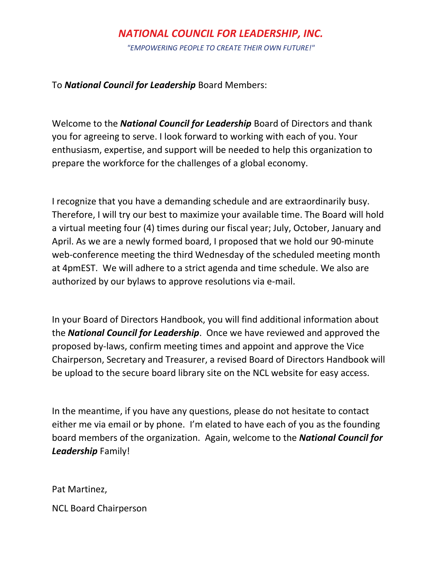*"EMPOWERING PEOPLE TO CREATE THEIR OWN FUTURE!"*

To *National Council for Leadership* Board Members:

Welcome to the *National Council for Leadership* Board of Directors and thank you for agreeing to serve. I look forward to working with each of you. Your enthusiasm, expertise, and support will be needed to help this organization to prepare the workforce for the challenges of a global economy.

I recognize that you have a demanding schedule and are extraordinarily busy. Therefore, I will try our best to maximize your available time. The Board will hold a virtual meeting four (4) times during our fiscal year; July, October, January and April. As we are a newly formed board, I proposed that we hold our 90-minute web-conference meeting the third Wednesday of the scheduled meeting month at 4pmEST. We will adhere to a strict agenda and time schedule. We also are authorized by our bylaws to approve resolutions via e-mail.

In your Board of Directors Handbook, you will find additional information about the *National Council for Leadership*. Once we have reviewed and approved the proposed by-laws, confirm meeting times and appoint and approve the Vice Chairperson, Secretary and Treasurer, a revised Board of Directors Handbook will be upload to the secure board library site on the NCL website for easy access.

In the meantime, if you have any questions, please do not hesitate to contact either me via email or by phone. I'm elated to have each of you as the founding board members of the organization. Again, welcome to the *National Council for Leadership* Family!

Pat Martinez,

NCL Board Chairperson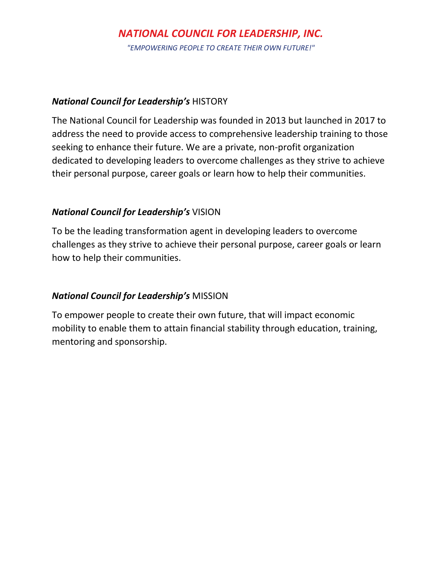*"EMPOWERING PEOPLE TO CREATE THEIR OWN FUTURE!"*

### *National Council for Leadership's* HISTORY

The National Council for Leadership was founded in 2013 but launched in 2017 to address the need to provide access to comprehensive leadership training to those seeking to enhance their future. We are a private, non-profit organization dedicated to developing leaders to overcome challenges as they strive to achieve their personal purpose, career goals or learn how to help their communities.

## *National Council for Leadership's* VISION

To be the leading transformation agent in developing leaders to overcome challenges as they strive to achieve their personal purpose, career goals or learn how to help their communities.

## *National Council for Leadership's* MISSION

To empower people to create their own future, that will impact economic mobility to enable them to attain financial stability through education, training, mentoring and sponsorship.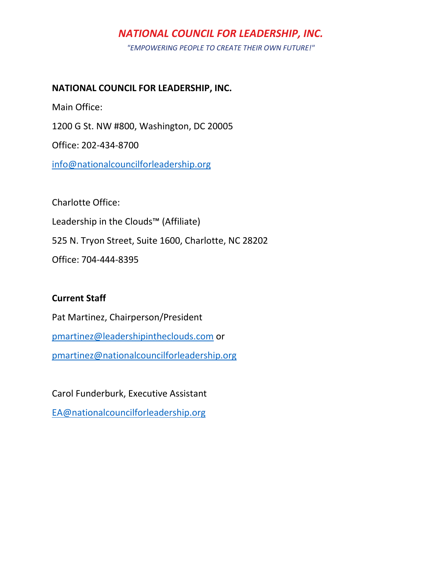*"EMPOWERING PEOPLE TO CREATE THEIR OWN FUTURE!"*

### **NATIONAL COUNCIL FOR LEADERSHIP, INC.**

Main Office:

1200 G St. NW #800, Washington, DC 20005

Office: 202-434-8700

[info@nationalcouncilforleadership.org](mailto:info@nationalcouncilforleadership.org)

Charlotte Office:

Leadership in the Clouds™ (Affiliate)

525 N. Tryon Street, Suite 1600, Charlotte, NC 28202

Office: 704-444-8395

## **Current Staff**

Pat Martinez, Chairperson/President [pmartinez@leadershipintheclouds.com](mailto:pmartinez@leadershipintheclouds.com) or [pmartinez@nationalcouncilforleadership.org](mailto:pmartinez@nationalcouncilforleadership.org)

Carol Funderburk, Executive Assistant

[EA@nationalcouncilforleadership.org](mailto:EA@nationalcouncilforleadership.org)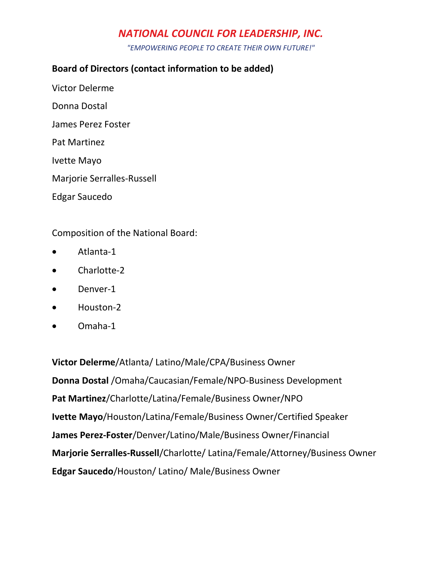*"EMPOWERING PEOPLE TO CREATE THEIR OWN FUTURE!"*

## **Board of Directors (contact information to be added)**

- Victor Delerme
- Donna Dostal
- James Perez Foster
- Pat Martinez
- Ivette Mayo
- Marjorie Serralles-Russell
- Edgar Saucedo

## Composition of the National Board:

- Atlanta-1
- Charlotte-2
- Denver-1
- Houston-2
- Omaha-1

**Victor Delerme**/Atlanta/ Latino/Male/CPA/Business Owner **Donna Dostal** /Omaha/Caucasian/Female/NPO-Business Development **Pat Martinez**/Charlotte/Latina/Female/Business Owner/NPO **Ivette Mayo**/Houston/Latina/Female/Business Owner/Certified Speaker **James Perez-Foster**/Denver/Latino/Male/Business Owner/Financial **Marjorie Serralles-Russell**/Charlotte/ Latina/Female/Attorney/Business Owner **Edgar Saucedo**/Houston/ Latino/ Male/Business Owner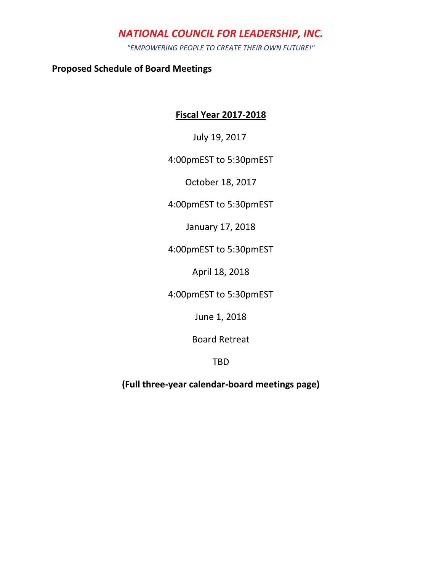*"EMPOWERING PEOPLE TO CREATE THEIR OWN FUTURE!"*

**Proposed Schedule of Board Meetings**

### **Fiscal Year 2017-2018**

July 19, 2017

### 4:00pmEST to 5:30pmEST

October 18, 2017

4:00pmEST to 5:30pmEST

January 17, 2018

4:00pmEST to 5:30pmEST

April 18, 2018

4:00pmEST to 5:30pmEST

June 1, 2018

Board Retreat

TBD

**(Full three-year calendar-board meetings page)**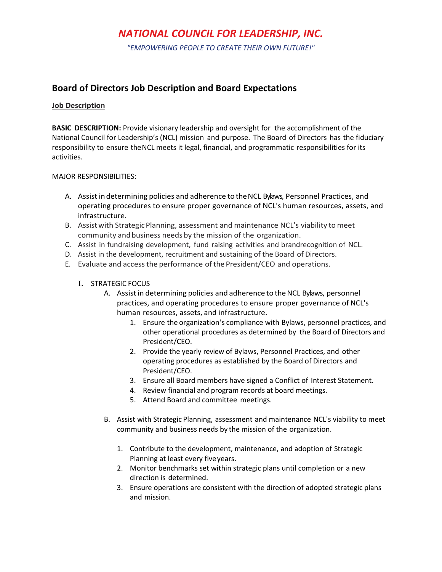*"EMPOWERING PEOPLE TO CREATE THEIR OWN FUTURE!"*

### **Board of Directors Job Description and Board Expectations**

#### **Job Description**

**BASIC DESCRIPTION:** Provide visionary leadership and oversight for the accomplishment of the National Council for Leadership's (NCL) mission and purpose. The Board of Directors has the fiduciary responsibility to ensure theNCL meets it legal, financial, and programmatic responsibilities for its activities.

#### MAJOR RESPONSIBILITIES:

- A. Assist in determining policies and adherence to theNCL Bylaws, Personnel Practices, and operating procedures to ensure proper governance of NCL's human resources, assets, and infrastructure.
- B. Assist with Strategic Planning, assessment and maintenance NCL's viability to meet community and business needs by the mission of the organization.
- C. Assist in fundraising development, fund raising activities and brandrecognition of NCL.
- D. Assist in the development, recruitment and sustaining of the Board of Directors.
- E. Evaluate and accessthe performance of the President/CEO and operations.

#### I. STRATEGIC FOCUS

- A. Assist in determining policies and adherence to the NCL Bylaws, personnel practices, and operating procedures to ensure proper governance of NCL's human resources, assets, and infrastructure.
	- 1. Ensure the organization's compliance with Bylaws, personnel practices, and other operational procedures as determined by the Board of Directors and President/CEO.
	- 2. Provide the yearly review of Bylaws, Personnel Practices, and other operating procedures as established by the Board of Directors and President/CEO.
	- 3. Ensure all Board members have signed a Conflict of Interest Statement.
	- 4. Review financial and program records at board meetings.
	- 5. Attend Board and committee meetings.
- B. Assist with Strategic Planning, assessment and maintenance NCL's viability to meet community and business needs by the mission of the organization.
	- 1. Contribute to the development, maintenance, and adoption of Strategic Planning at least every fiveyears.
	- 2. Monitor benchmarks set within strategic plans until completion or a new direction is determined.
	- 3. Ensure operations are consistent with the direction of adopted strategic plans and mission.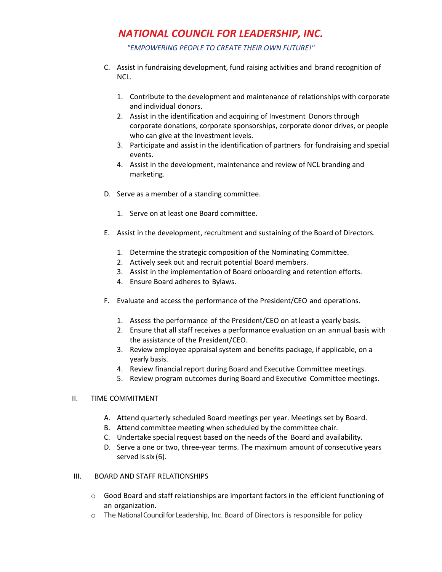*"EMPOWERING PEOPLE TO CREATE THEIR OWN FUTURE!"*

- C. Assist in fundraising development, fund raising activities and brand recognition of NCL.
	- 1. Contribute to the development and maintenance of relationships with corporate and individual donors.
	- 2. Assist in the identification and acquiring of Investment Donors through corporate donations, corporate sponsorships, corporate donor drives, or people who can give at the Investment levels.
	- 3. Participate and assist in the identification of partners for fundraising and special events.
	- 4. Assist in the development, maintenance and review of NCL branding and marketing.
- D. Serve as a member of a standing committee.
	- 1. Serve on at least one Board committee.
- E. Assist in the development, recruitment and sustaining of the Board of Directors.
	- 1. Determine the strategic composition of the Nominating Committee.
	- 2. Actively seek out and recruit potential Board members.
	- 3. Assist in the implementation of Board onboarding and retention efforts.
	- 4. Ensure Board adheres to Bylaws.
- F. Evaluate and access the performance of the President/CEO and operations.
	- 1. Assess the performance of the President/CEO on atleast a yearly basis.
	- 2. Ensure that all staff receives a performance evaluation on an annual basis with the assistance of the President/CEO.
	- 3. Review employee appraisal system and benefits package, if applicable, on a yearly basis.
	- 4. Review financial report during Board and Executive Committee meetings.
	- 5. Review program outcomes during Board and Executive Committee meetings.

### II. TIME COMMITMENT

- A. Attend quarterly scheduled Board meetings per year. Meetings set by Board.
- B. Attend committee meeting when scheduled by the committee chair.
- C. Undertake special request based on the needs of the Board and availability.
- D. Serve a one or two, three-year terms. The maximum amount of consecutive years served is six (6).

### III. BOARD AND STAFF RELATIONSHIPS

- o Good Board and staff relationships are important factors in the efficient functioning of an organization.
- o The National Council for Leadership, Inc. Board of Directors is responsible for policy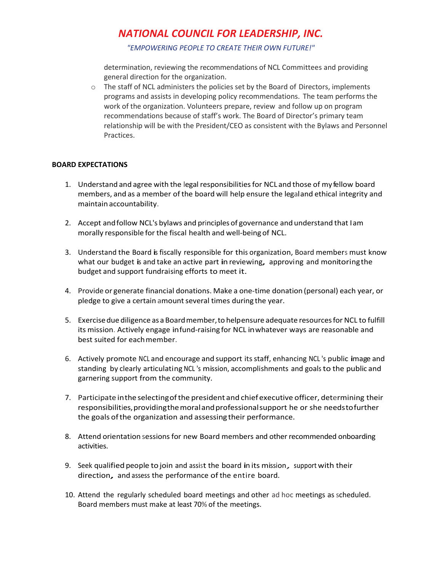*"EMPOWERING PEOPLE TO CREATE THEIR OWN FUTURE!"*

determination, reviewing the recommendations of NCL Committees and providing general direction for the organization.

o The staff of NCL administers the policies set by the Board of Directors, implements programs and assists in developing policy recommendations. The team performs the work of the organization. Volunteers prepare, review and follow up on program recommendations because of staff's work. The Board of Director's primary team relationship will be with the President/CEO as consistent with the Bylaws and Personnel Practices.

#### **BOARD EXPECTATIONS**

- 1. Understand and agree with the legal responsibilitiesfor NCL and those of my fellow board members, and as a member of the board will help ensure the legaland ethical integrity and maintain accountability.
- 2. Accept andfollow NCL's bylaws and principles of governance and understand that Iam morally responsible for the fiscal health and well-being of NCL.
- 3. Understand the Board is fiscally responsible for this organization, Board members must know what our budget is and take an active part in reviewing, approving and monitoring the budget and support fundraising efforts to meet it.
- 4. Provide or generate financial donations. Make a one-time donation (personal) each year, or pledge to give a certain amount several times during the year.
- 5. Exercisedue diligence as a Boardmember,to helpensure adequate resourcesfor NCL to fulfill its mission. Actively engage infund-raising for NCL inwhatever ways are reasonable and best suited for eachmember.
- 6. Actively promote NCL and encourage and support itsstaff, enhancing NCL 's public image and standing by clearly articulating NCL 's mission, accomplishments and goals to the public and garnering support from the community.
- 7. Participate inthe selectingofthe president and chiefexecutive officer, determining their responsibilities, providing the moral and professional support he or she needs to further the goals ofthe organization and assessing their performance.
- 8. Attend orientation sessions for new Board members and other recommended onboarding activities.
- 9. Seek qualified people to join and assist the board in its mission, support with their direction, and assess the performance of the entire board.
- 10. Attend the regularly scheduled board meetings and other ad hoc meetings as scheduled. Board members must make at least 70% of the meetings.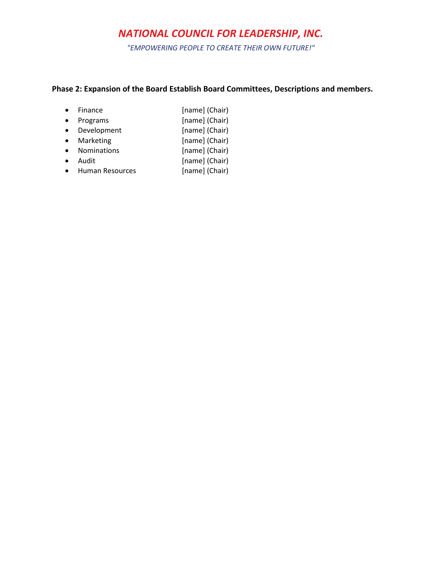*"EMPOWERING PEOPLE TO CREATE THEIR OWN FUTURE!"*

### **Phase 2: Expansion of the Board Establish Board Committees, Descriptions and members.**

| $\bullet$ Finance  | [name] (Chair) |
|--------------------|----------------|
| $\bullet$ Programs | [name] (Chair) |
| • Development      | [name] (Chair) |
| Marketing          | [name] (Chair) |
|                    |                |

- Nominations [name] (Chair)
- Audit [name] (Chair)
- Human Resources [name] (Chair)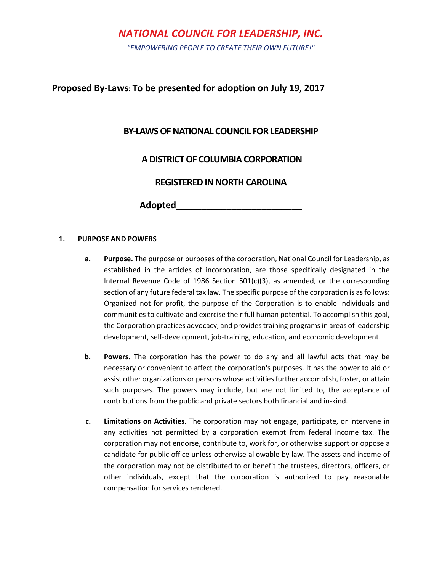*"EMPOWERING PEOPLE TO CREATE THEIR OWN FUTURE!"*

### **Proposed By-Laws: To be presented for adoption on July 19, 2017**

### **BY-LAWS OF NATIONAL COUNCIL FOR LEADERSHIP**

### **A DISTRICT OF COLUMBIA CORPORATION**

### **REGISTERED IN NORTH CAROLINA**

**Adopted\_\_\_\_\_\_\_\_\_\_\_\_\_\_\_\_\_\_\_\_\_\_\_\_\_**

### **1. PURPOSE AND POWERS**

- **a. Purpose.** The purpose or purposes of the corporation, National Council for Leadership, as established in the articles of incorporation, are those specifically designated in the Internal Revenue Code of 1986 Section  $501(c)(3)$ , as amended, or the corresponding section of any future federal tax law. The specific purpose of the corporation is as follows: Organized not-for-profit, the purpose of the Corporation is to enable individuals and communities to cultivate and exercise their full human potential. To accomplish this goal, the Corporation practices advocacy, and provides training programs in areas of leadership development, self-development, job-training, education, and economic development.
- **b. Powers.** The corporation has the power to do any and all lawful acts that may be necessary or convenient to affect the corporation's purposes. It has the power to aid or assist other organizations or persons whose activities further accomplish, foster, or attain such purposes. The powers may include, but are not limited to, the acceptance of contributions from the public and private sectors both financial and in-kind.
- **c. Limitations on Activities.** The corporation may not engage, participate, or intervene in any activities not permitted by a corporation exempt from federal income tax. The corporation may not endorse, contribute to, work for, or otherwise support or oppose a candidate for public office unless otherwise allowable by law. The assets and income of the corporation may not be distributed to or benefit the trustees, directors, officers, or other individuals, except that the corporation is authorized to pay reasonable compensation for services rendered.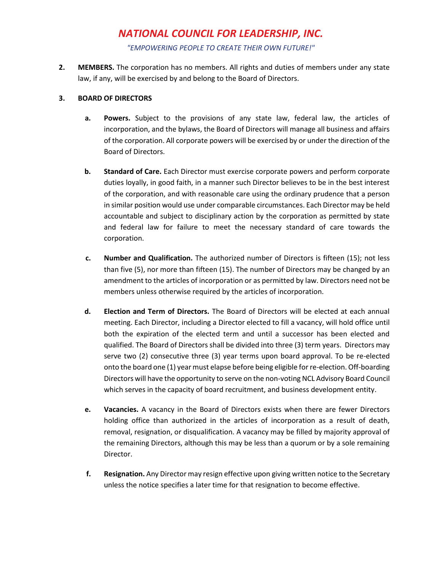*"EMPOWERING PEOPLE TO CREATE THEIR OWN FUTURE!"*

**2. MEMBERS.** The corporation has no members. All rights and duties of members under any state law, if any, will be exercised by and belong to the Board of Directors.

### **3. BOARD OF DIRECTORS**

- **a. Powers.** Subject to the provisions of any state law, federal law, the articles of incorporation, and the bylaws, the Board of Directors will manage all business and affairs of the corporation. All corporate powers will be exercised by or under the direction of the Board of Directors.
- **b. Standard of Care.** Each Director must exercise corporate powers and perform corporate duties loyally, in good faith, in a manner such Director believes to be in the best interest of the corporation, and with reasonable care using the ordinary prudence that a person in similar position would use under comparable circumstances. Each Director may be held accountable and subject to disciplinary action by the corporation as permitted by state and federal law for failure to meet the necessary standard of care towards the corporation.
- **c. Number and Qualification.** The authorized number of Directors is fifteen (15); not less than five (5), nor more than fifteen (15). The number of Directors may be changed by an amendment to the articles of incorporation or as permitted by law. Directors need not be members unless otherwise required by the articles of incorporation.
- **d. Election and Term of Directors.** The Board of Directors will be elected at each annual meeting. Each Director, including a Director elected to fill a vacancy, will hold office until both the expiration of the elected term and until a successor has been elected and qualified. The Board of Directors shall be divided into three (3) term years. Directors may serve two (2) consecutive three (3) year terms upon board approval. To be re-elected onto the board one (1) year must elapse before being eligible for re-election. Off-boarding Directors will have the opportunity to serve on the non-voting NCL Advisory Board Council which serves in the capacity of board recruitment, and business development entity.
- **e. Vacancies.** A vacancy in the Board of Directors exists when there are fewer Directors holding office than authorized in the articles of incorporation as a result of death, removal, resignation, or disqualification. A vacancy may be filled by majority approval of the remaining Directors, although this may be less than a quorum or by a sole remaining Director.
- **f. Resignation.** Any Director may resign effective upon giving written notice to the Secretary unless the notice specifies a later time for that resignation to become effective.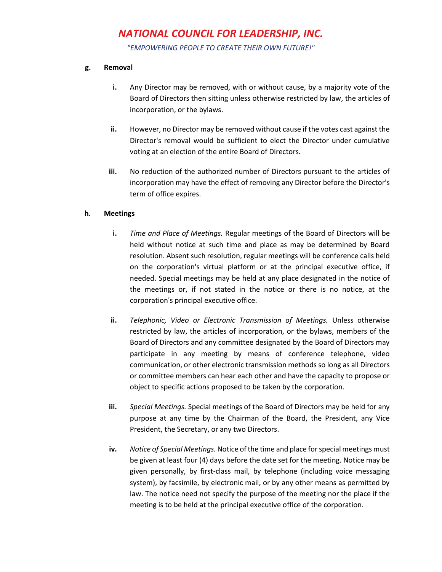*"EMPOWERING PEOPLE TO CREATE THEIR OWN FUTURE!"*

#### **g. Removal**

- **i.** Any Director may be removed, with or without cause, by a majority vote of the Board of Directors then sitting unless otherwise restricted by law, the articles of incorporation, or the bylaws.
- **ii.** However, no Director may be removed without cause if the votes cast against the Director's removal would be sufficient to elect the Director under cumulative voting at an election of the entire Board of Directors.
- **iii.** No reduction of the authorized number of Directors pursuant to the articles of incorporation may have the effect of removing any Director before the Director's term of office expires.

### **h. Meetings**

- **i.** *Time and Place of Meetings.* Regular meetings of the Board of Directors will be held without notice at such time and place as may be determined by Board resolution. Absent such resolution, regular meetings will be conference calls held on the corporation's virtual platform or at the principal executive office, if needed. Special meetings may be held at any place designated in the notice of the meetings or, if not stated in the notice or there is no notice, at the corporation's principal executive office.
- **ii.** *Telephonic, Video or Electronic Transmission of Meetings.* Unless otherwise restricted by law, the articles of incorporation, or the bylaws, members of the Board of Directors and any committee designated by the Board of Directors may participate in any meeting by means of conference telephone, video communication, or other electronic transmission methods so long as all Directors or committee members can hear each other and have the capacity to propose or object to specific actions proposed to be taken by the corporation.
- **iii.** *Special Meetings.* Special meetings of the Board of Directors may be held for any purpose at any time by the Chairman of the Board, the President, any Vice President, the Secretary, or any two Directors.
- **iv.** *Notice of Special Meetings.* Notice of the time and place for special meetings must be given at least four (4) days before the date set for the meeting. Notice may be given personally, by first-class mail, by telephone (including voice messaging system), by facsimile, by electronic mail, or by any other means as permitted by law. The notice need not specify the purpose of the meeting nor the place if the meeting is to be held at the principal executive office of the corporation.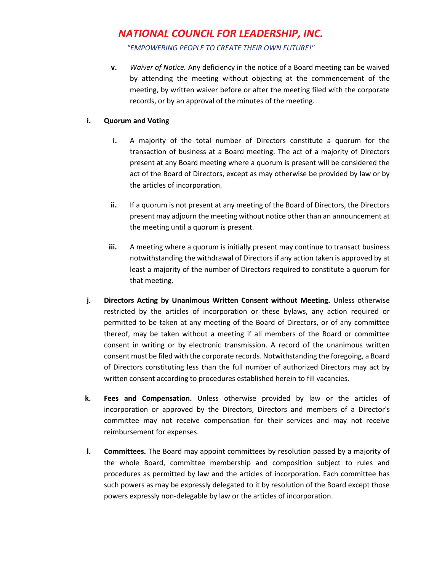*"EMPOWERING PEOPLE TO CREATE THEIR OWN FUTURE!"*

**v.** *Waiver of Notice.* Any deficiency in the notice of a Board meeting can be waived by attending the meeting without objecting at the commencement of the meeting, by written waiver before or after the meeting filed with the corporate records, or by an approval of the minutes of the meeting.

### **i. Quorum and Voting**

- **i.** A majority of the total number of Directors constitute a quorum for the transaction of business at a Board meeting. The act of a majority of Directors present at any Board meeting where a quorum is present will be considered the act of the Board of Directors, except as may otherwise be provided by law or by the articles of incorporation.
- **ii.** If a quorum is not present at any meeting of the Board of Directors, the Directors present may adjourn the meeting without notice other than an announcement at the meeting until a quorum is present.
- **iii.** A meeting where a quorum is initially present may continue to transact business notwithstanding the withdrawal of Directors if any action taken is approved by at least a majority of the number of Directors required to constitute a quorum for that meeting.
- **j. Directors Acting by Unanimous Written Consent without Meeting.** Unless otherwise restricted by the articles of incorporation or these bylaws, any action required or permitted to be taken at any meeting of the Board of Directors, or of any committee thereof, may be taken without a meeting if all members of the Board or committee consent in writing or by electronic transmission. A record of the unanimous written consent must be filed with the corporate records. Notwithstanding the foregoing, a Board of Directors constituting less than the full number of authorized Directors may act by written consent according to procedures established herein to fill vacancies.
- **k. Fees and Compensation.** Unless otherwise provided by law or the articles of incorporation or approved by the Directors, Directors and members of a Director's committee may not receive compensation for their services and may not receive reimbursement for expenses.
- **l. Committees.** The Board may appoint committees by resolution passed by a majority of the whole Board, committee membership and composition subject to rules and procedures as permitted by law and the articles of incorporation. Each committee has such powers as may be expressly delegated to it by resolution of the Board except those powers expressly non-delegable by law or the articles of incorporation.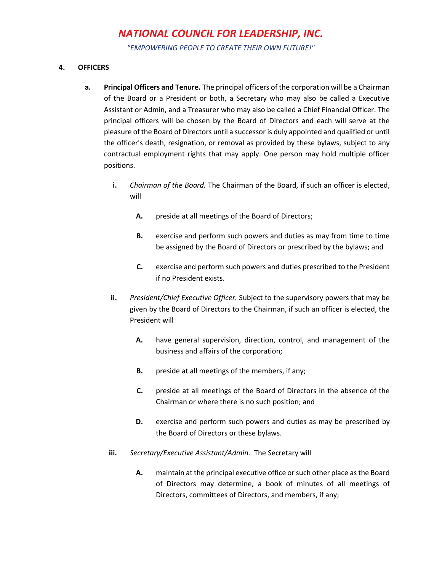*"EMPOWERING PEOPLE TO CREATE THEIR OWN FUTURE!"*

### **4. OFFICERS**

- **a. Principal Officers and Tenure.** The principal officers of the corporation will be a Chairman of the Board or a President or both, a Secretary who may also be called a Executive Assistant or Admin, and a Treasurer who may also be called a Chief Financial Officer. The principal officers will be chosen by the Board of Directors and each will serve at the pleasure of the Board of Directors until a successor is duly appointed and qualified or until the officer's death, resignation, or removal as provided by these bylaws, subject to any contractual employment rights that may apply. One person may hold multiple officer positions.
	- **i.** *Chairman of the Board.* The Chairman of the Board, if such an officer is elected, will
		- **A.** preside at all meetings of the Board of Directors;
		- **B.** exercise and perform such powers and duties as may from time to time be assigned by the Board of Directors or prescribed by the bylaws; and
		- **C.** exercise and perform such powers and duties prescribed to the President if no President exists.
	- **ii.** *President/Chief Executive Officer.* Subject to the supervisory powers that may be given by the Board of Directors to the Chairman, if such an officer is elected, the President will
		- **A.** have general supervision, direction, control, and management of the business and affairs of the corporation;
		- **B.** preside at all meetings of the members, if any;
		- **C.** preside at all meetings of the Board of Directors in the absence of the Chairman or where there is no such position; and
		- **D.** exercise and perform such powers and duties as may be prescribed by the Board of Directors or these bylaws.
	- **iii.** *Secretary/Executive Assistant/Admin.* The Secretary will
		- **A.** maintain at the principal executive office or such other place as the Board of Directors may determine, a book of minutes of all meetings of Directors, committees of Directors, and members, if any;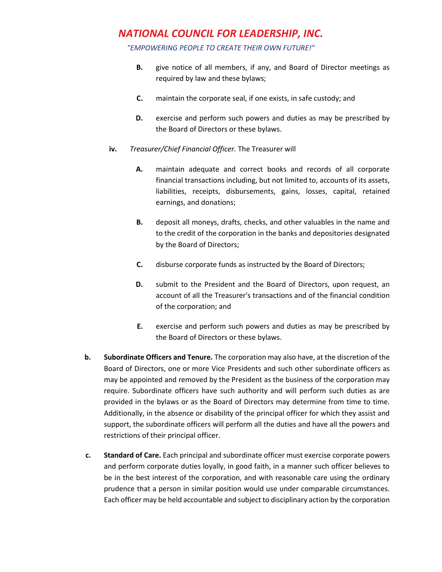*"EMPOWERING PEOPLE TO CREATE THEIR OWN FUTURE!"*

- **B.** give notice of all members, if any, and Board of Director meetings as required by law and these bylaws;
- **C.** maintain the corporate seal, if one exists, in safe custody; and
- **D.** exercise and perform such powers and duties as may be prescribed by the Board of Directors or these bylaws.
- **iv.** *Treasurer/Chief Financial Officer.* The Treasurer will
	- **A.** maintain adequate and correct books and records of all corporate financial transactions including, but not limited to, accounts of its assets, liabilities, receipts, disbursements, gains, losses, capital, retained earnings, and donations;
	- **B.** deposit all moneys, drafts, checks, and other valuables in the name and to the credit of the corporation in the banks and depositories designated by the Board of Directors;
	- **C.** disburse corporate funds as instructed by the Board of Directors;
	- **D.** submit to the President and the Board of Directors, upon request, an account of all the Treasurer's transactions and of the financial condition of the corporation; and
	- **E.** exercise and perform such powers and duties as may be prescribed by the Board of Directors or these bylaws.
- **b. Subordinate Officers and Tenure.** The corporation may also have, at the discretion of the Board of Directors, one or more Vice Presidents and such other subordinate officers as may be appointed and removed by the President as the business of the corporation may require. Subordinate officers have such authority and will perform such duties as are provided in the bylaws or as the Board of Directors may determine from time to time. Additionally, in the absence or disability of the principal officer for which they assist and support, the subordinate officers will perform all the duties and have all the powers and restrictions of their principal officer.
- **c. Standard of Care.** Each principal and subordinate officer must exercise corporate powers and perform corporate duties loyally, in good faith, in a manner such officer believes to be in the best interest of the corporation, and with reasonable care using the ordinary prudence that a person in similar position would use under comparable circumstances. Each officer may be held accountable and subject to disciplinary action by the corporation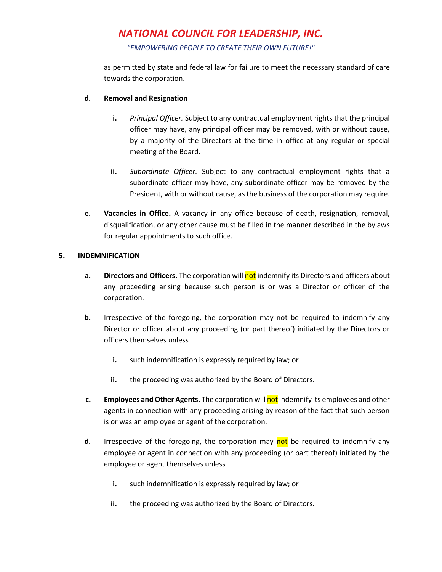*"EMPOWERING PEOPLE TO CREATE THEIR OWN FUTURE!"*

as permitted by state and federal law for failure to meet the necessary standard of care towards the corporation.

### **d. Removal and Resignation**

- **i.** *Principal Officer.* Subject to any contractual employment rights that the principal officer may have, any principal officer may be removed, with or without cause, by a majority of the Directors at the time in office at any regular or special meeting of the Board.
- **ii.** *Subordinate Officer.* Subject to any contractual employment rights that a subordinate officer may have, any subordinate officer may be removed by the President, with or without cause, as the business of the corporation may require.
- **e. Vacancies in Office.** A vacancy in any office because of death, resignation, removal, disqualification, or any other cause must be filled in the manner described in the bylaws for regular appointments to such office.

### **5. INDEMNIFICATION**

- **a. Directors and Officers.** The corporation will not indemnify its Directors and officers about any proceeding arising because such person is or was a Director or officer of the corporation.
- **b.** Irrespective of the foregoing, the corporation may not be required to indemnify any Director or officer about any proceeding (or part thereof) initiated by the Directors or officers themselves unless
	- **i.** such indemnification is expressly required by law; or
	- **ii.** the proceeding was authorized by the Board of Directors.
- **c. Employees and Other Agents.** The corporation will not indemnify its employees and other agents in connection with any proceeding arising by reason of the fact that such person is or was an employee or agent of the corporation.
- **d.** Irrespective of the foregoing, the corporation may not be required to indemnify any employee or agent in connection with any proceeding (or part thereof) initiated by the employee or agent themselves unless
	- **i.** such indemnification is expressly required by law; or
	- **ii.** the proceeding was authorized by the Board of Directors.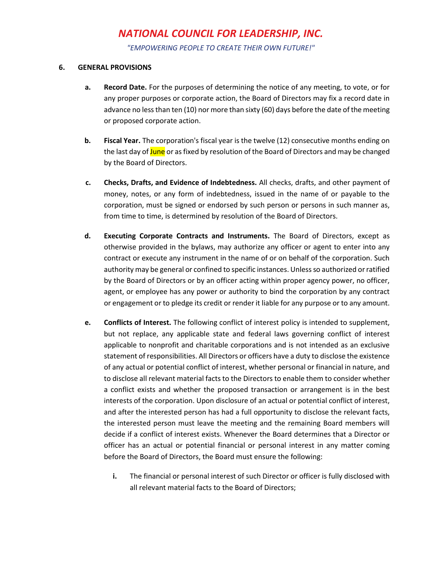*"EMPOWERING PEOPLE TO CREATE THEIR OWN FUTURE!"*

#### **6. GENERAL PROVISIONS**

- **a. Record Date.** For the purposes of determining the notice of any meeting, to vote, or for any proper purposes or corporate action, the Board of Directors may fix a record date in advance no less than ten (10) nor more than sixty (60) days before the date of the meeting or proposed corporate action.
- **b. Fiscal Year.** The corporation's fiscal year is the twelve (12) consecutive months ending on the last day of June or as fixed by resolution of the Board of Directors and may be changed by the Board of Directors.
- **c. Checks, Drafts, and Evidence of Indebtedness.** All checks, drafts, and other payment of money, notes, or any form of indebtedness, issued in the name of or payable to the corporation, must be signed or endorsed by such person or persons in such manner as, from time to time, is determined by resolution of the Board of Directors.
- **d. Executing Corporate Contracts and Instruments.** The Board of Directors, except as otherwise provided in the bylaws, may authorize any officer or agent to enter into any contract or execute any instrument in the name of or on behalf of the corporation. Such authority may be general or confined to specific instances. Unless so authorized or ratified by the Board of Directors or by an officer acting within proper agency power, no officer, agent, or employee has any power or authority to bind the corporation by any contract or engagement or to pledge its credit or render it liable for any purpose or to any amount.
- **e. Conflicts of Interest.** The following conflict of interest policy is intended to supplement, but not replace, any applicable state and federal laws governing conflict of interest applicable to nonprofit and charitable corporations and is not intended as an exclusive statement of responsibilities. All Directors or officers have a duty to disclose the existence of any actual or potential conflict of interest, whether personal or financial in nature, and to disclose all relevant material facts to the Directors to enable them to consider whether a conflict exists and whether the proposed transaction or arrangement is in the best interests of the corporation. Upon disclosure of an actual or potential conflict of interest, and after the interested person has had a full opportunity to disclose the relevant facts, the interested person must leave the meeting and the remaining Board members will decide if a conflict of interest exists. Whenever the Board determines that a Director or officer has an actual or potential financial or personal interest in any matter coming before the Board of Directors, the Board must ensure the following:
	- **i.** The financial or personal interest of such Director or officer is fully disclosed with all relevant material facts to the Board of Directors;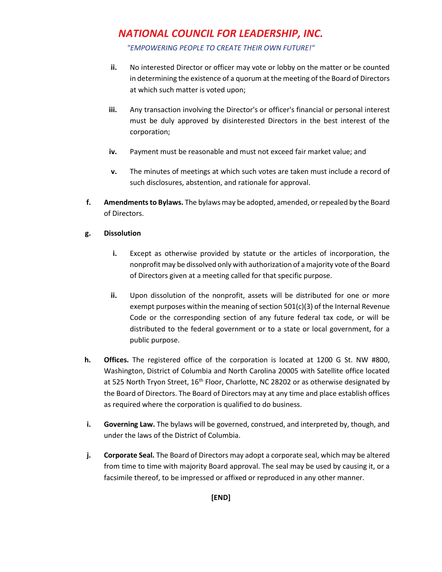*"EMPOWERING PEOPLE TO CREATE THEIR OWN FUTURE!"*

- **ii.** No interested Director or officer may vote or lobby on the matter or be counted in determining the existence of a quorum at the meeting of the Board of Directors at which such matter is voted upon;
- **iii.** Any transaction involving the Director's or officer's financial or personal interest must be duly approved by disinterested Directors in the best interest of the corporation;
- **iv.** Payment must be reasonable and must not exceed fair market value; and
- **v.** The minutes of meetings at which such votes are taken must include a record of such disclosures, abstention, and rationale for approval.
- **f. Amendments to Bylaws.** The bylaws may be adopted, amended, or repealed by the Board of Directors.

### **g. Dissolution**

- **i.** Except as otherwise provided by statute or the articles of incorporation, the nonprofit may be dissolved only with authorization of a majority vote of the Board of Directors given at a meeting called for that specific purpose.
- **ii.** Upon dissolution of the nonprofit, assets will be distributed for one or more exempt purposes within the meaning of section 501(c)(3) of the Internal Revenue Code or the corresponding section of any future federal tax code, or will be distributed to the federal government or to a state or local government, for a public purpose.
- **h. Offices.** The registered office of the corporation is located at 1200 G St. NW #800, Washington, District of Columbia and North Carolina 20005 with Satellite office located at 525 North Tryon Street,  $16<sup>th</sup>$  Floor, Charlotte, NC 28202 or as otherwise designated by the Board of Directors. The Board of Directors may at any time and place establish offices as required where the corporation is qualified to do business.
- **i. Governing Law.** The bylaws will be governed, construed, and interpreted by, though, and under the laws of the District of Columbia.
- **j. Corporate Seal.** The Board of Directors may adopt a corporate seal, which may be altered from time to time with majority Board approval. The seal may be used by causing it, or a facsimile thereof, to be impressed or affixed or reproduced in any other manner.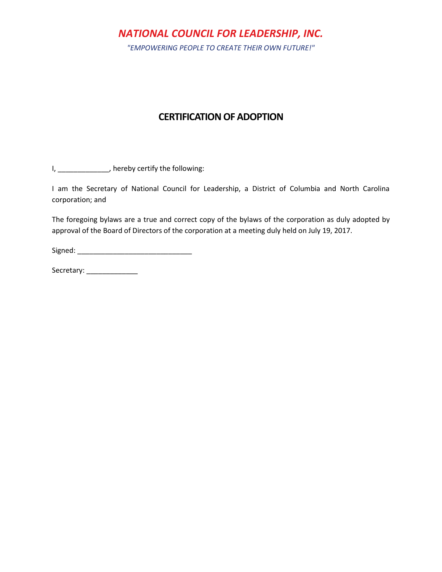*"EMPOWERING PEOPLE TO CREATE THEIR OWN FUTURE!"*

## **CERTIFICATION OF ADOPTION**

I, \_\_\_\_\_\_\_\_\_\_\_\_\_, hereby certify the following:

I am the Secretary of National Council for Leadership, a District of Columbia and North Carolina corporation; and

The foregoing bylaws are a true and correct copy of the bylaws of the corporation as duly adopted by approval of the Board of Directors of the corporation at a meeting duly held on July 19, 2017.

Signed: \_\_\_\_\_\_\_\_\_\_\_\_\_\_\_\_\_\_\_\_\_\_\_\_\_\_\_\_\_

Secretary: \_\_\_\_\_\_\_\_\_\_\_\_\_